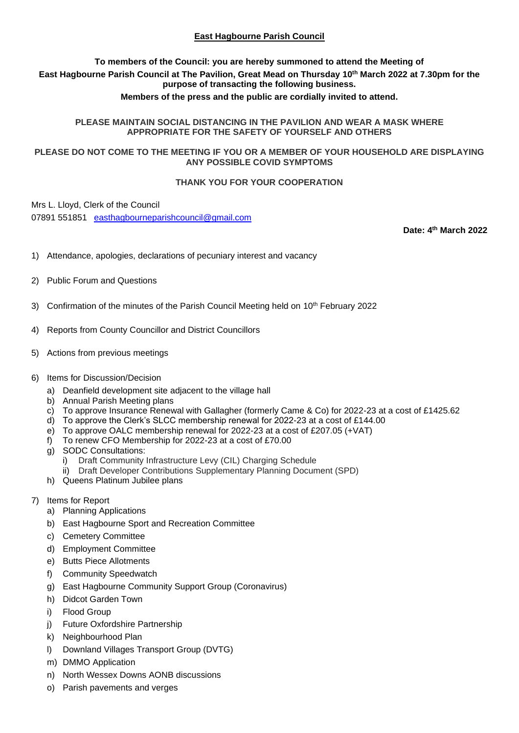# **East Hagbourne Parish Council**

# **To members of the Council: you are hereby summoned to attend the Meeting of East Hagbourne Parish Council at The Pavilion, Great Mead on Thursday 10 th March 2022 at 7.30pm for the purpose of transacting the following business.**

## **Members of the press and the public are cordially invited to attend.**

#### **PLEASE MAINTAIN SOCIAL DISTANCING IN THE PAVILION AND WEAR A MASK WHERE APPROPRIATE FOR THE SAFETY OF YOURSELF AND OTHERS**

## **PLEASE DO NOT COME TO THE MEETING IF YOU OR A MEMBER OF YOUR HOUSEHOLD ARE DISPLAYING ANY POSSIBLE COVID SYMPTOMS**

#### **THANK YOU FOR YOUR COOPERATION**

Mrs L. Lloyd, Clerk of the Council

07891 551851 [easthagbourneparishcouncil@gmail.com](mailto:easthagbourneparishcouncil@gmail.com)

**Date: 4 th March 2022**

- 1) Attendance, apologies, declarations of pecuniary interest and vacancy
- 2) Public Forum and Questions
- 3) Confirmation of the minutes of the Parish Council Meeting held on 10<sup>th</sup> February 2022
- 4) Reports from County Councillor and District Councillors
- 5) Actions from previous meetings

#### 6) Items for Discussion/Decision

- a) Deanfield development site adjacent to the village hall
- b) Annual Parish Meeting plans
- c) To approve Insurance Renewal with Gallagher (formerly Came & Co) for 2022-23 at a cost of £1425.62
- d) To approve the Clerk's SLCC membership renewal for 2022-23 at a cost of £144.00
- e) To approve OALC membership renewal for 2022-23 at a cost of £207.05 (+VAT)
- f) To renew CFO Membership for 2022-23 at a cost of £70.00
- g) SODC Consultations:
	- i) Draft Community Infrastructure Levy (CIL) Charging Schedule
	- ii) Draft Developer Contributions Supplementary Planning Document (SPD)
- h) Queens Platinum Jubilee plans
- 7) Items for Report
	- a) Planning Applications
	- b) East Hagbourne Sport and Recreation Committee
	- c) Cemetery Committee
	- d) Employment Committee
	- e) Butts Piece Allotments
	- f) Community Speedwatch
	- g) East Hagbourne Community Support Group (Coronavirus)
	- h) Didcot Garden Town
	- i) Flood Group
	- j) Future Oxfordshire Partnership
	- k) Neighbourhood Plan
	- l) Downland Villages Transport Group (DVTG)
	- m) DMMO Application
	- n) North Wessex Downs AONB discussions
	- o) Parish pavements and verges